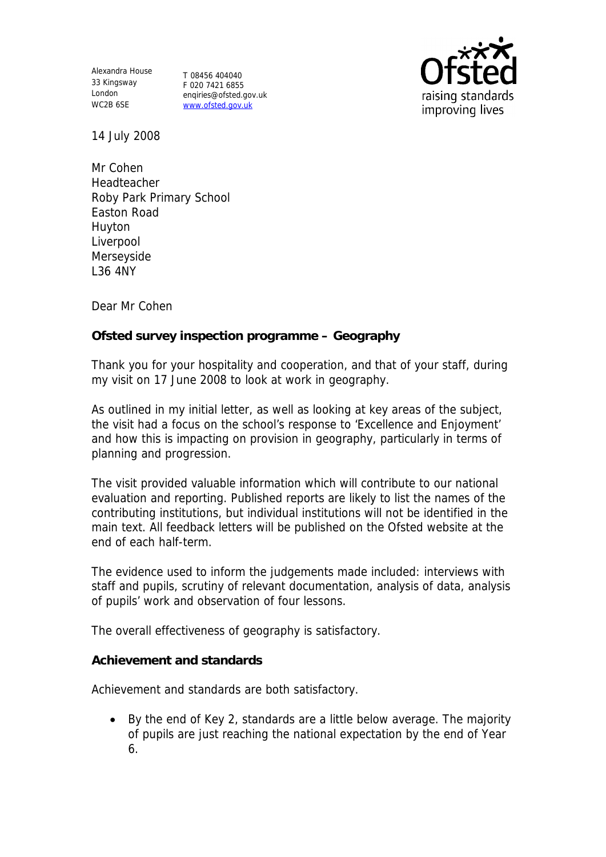Alexandra House 33 Kingsway London WC2B 6SE

T 08456 404040 F 020 7421 6855 enqiries@ofsted.gov.uk www.ofsted.gov.uk



14 July 2008

Mr Cohen Headteacher Roby Park Primary School Easton Road Huyton Liverpool Merseyside L36 4NY

Dear Mr Cohen

**Ofsted survey inspection programme – Geography**

Thank you for your hospitality and cooperation, and that of your staff, during my visit on 17 June 2008 to look at work in geography.

As outlined in my initial letter, as well as looking at key areas of the subject, the visit had a focus on the school's response to 'Excellence and Enjoyment' and how this is impacting on provision in geography, particularly in terms of planning and progression.

The visit provided valuable information which will contribute to our national evaluation and reporting. Published reports are likely to list the names of the contributing institutions, but individual institutions will not be identified in the main text. All feedback letters will be published on the Ofsted website at the end of each half-term.

The evidence used to inform the judgements made included: interviews with staff and pupils, scrutiny of relevant documentation, analysis of data, analysis of pupils' work and observation of four lessons.

The overall effectiveness of geography is satisfactory.

**Achievement and standards**

Achievement and standards are both satisfactory.

 By the end of Key 2, standards are a little below average. The majority of pupils are just reaching the national expectation by the end of Year 6.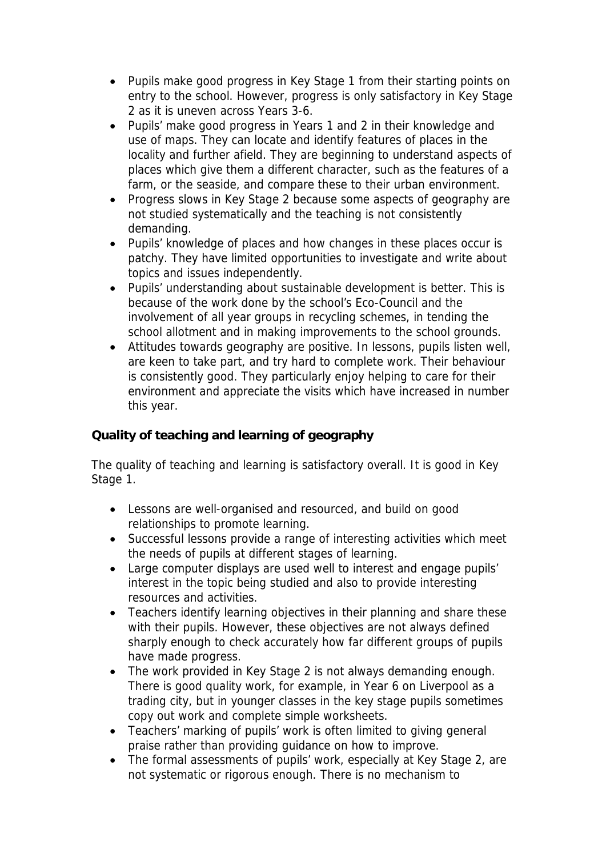- Pupils make good progress in Key Stage 1 from their starting points on entry to the school. However, progress is only satisfactory in Key Stage 2 as it is uneven across Years 3-6.
- Pupils' make good progress in Years 1 and 2 in their knowledge and use of maps. They can locate and identify features of places in the locality and further afield. They are beginning to understand aspects of places which give them a different character, such as the features of a farm, or the seaside, and compare these to their urban environment.
- Progress slows in Key Stage 2 because some aspects of geography are not studied systematically and the teaching is not consistently demanding.
- Pupils' knowledge of places and how changes in these places occur is patchy. They have limited opportunities to investigate and write about topics and issues independently.
- Pupils' understanding about sustainable development is better. This is because of the work done by the school's Eco-Council and the involvement of all year groups in recycling schemes, in tending the school allotment and in making improvements to the school grounds.
- Attitudes towards geography are positive. In lessons, pupils listen well, are keen to take part, and try hard to complete work. Their behaviour is consistently good. They particularly enjoy helping to care for their environment and appreciate the visits which have increased in number this year.

**Quality of teaching and learning of geography**

The quality of teaching and learning is satisfactory overall. It is good in Key Stage 1.

- Lessons are well-organised and resourced, and build on good relationships to promote learning.
- Successful lessons provide a range of interesting activities which meet the needs of pupils at different stages of learning.
- Large computer displays are used well to interest and engage pupils' interest in the topic being studied and also to provide interesting resources and activities.
- Teachers identify learning objectives in their planning and share these with their pupils. However, these objectives are not always defined sharply enough to check accurately how far different groups of pupils have made progress.
- The work provided in Key Stage 2 is not always demanding enough. There is good quality work, for example, in Year 6 on Liverpool as a trading city, but in younger classes in the key stage pupils sometimes copy out work and complete simple worksheets.
- Teachers' marking of pupils' work is often limited to giving general praise rather than providing guidance on how to improve.
- The formal assessments of pupils' work, especially at Key Stage 2, are not systematic or rigorous enough. There is no mechanism to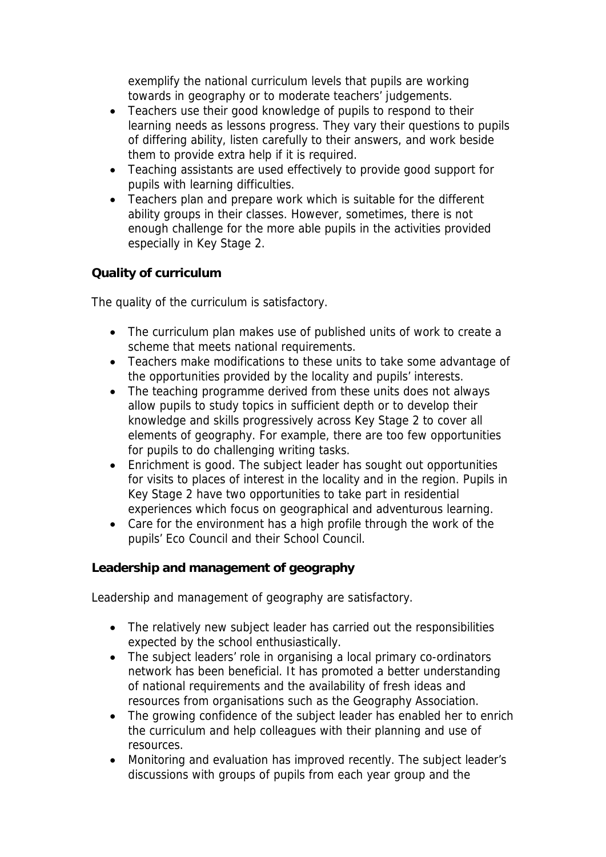exemplify the national curriculum levels that pupils are working towards in geography or to moderate teachers' judgements.

- Teachers use their good knowledge of pupils to respond to their learning needs as lessons progress. They vary their questions to pupils of differing ability, listen carefully to their answers, and work beside them to provide extra help if it is required.
- Teaching assistants are used effectively to provide good support for pupils with learning difficulties.
- Teachers plan and prepare work which is suitable for the different ability groups in their classes. However, sometimes, there is not enough challenge for the more able pupils in the activities provided especially in Key Stage 2.

## **Quality of curriculum**

The quality of the curriculum is satisfactory.

- The curriculum plan makes use of published units of work to create a scheme that meets national requirements.
- Teachers make modifications to these units to take some advantage of the opportunities provided by the locality and pupils' interests.
- The teaching programme derived from these units does not always allow pupils to study topics in sufficient depth or to develop their knowledge and skills progressively across Key Stage 2 to cover all elements of geography. For example, there are too few opportunities for pupils to do challenging writing tasks.
- Enrichment is good. The subject leader has sought out opportunities for visits to places of interest in the locality and in the region. Pupils in Key Stage 2 have two opportunities to take part in residential experiences which focus on geographical and adventurous learning.
- Care for the environment has a high profile through the work of the pupils' Eco Council and their School Council.

**Leadership and management of geography**

Leadership and management of geography are satisfactory.

- The relatively new subject leader has carried out the responsibilities expected by the school enthusiastically.
- The subject leaders' role in organising a local primary co-ordinators network has been beneficial. It has promoted a better understanding of national requirements and the availability of fresh ideas and resources from organisations such as the Geography Association.
- The growing confidence of the subject leader has enabled her to enrich the curriculum and help colleagues with their planning and use of resources.
- Monitoring and evaluation has improved recently. The subject leader's discussions with groups of pupils from each year group and the